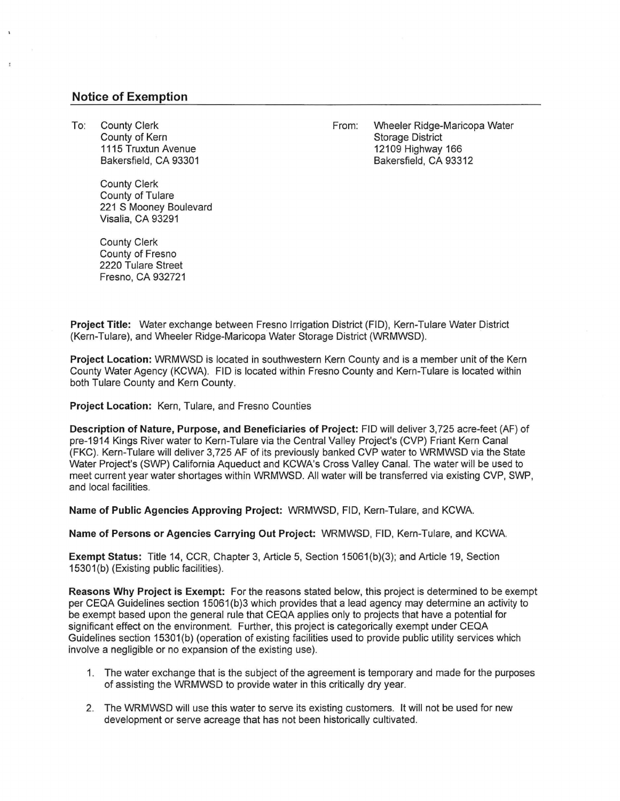## **Notice of Exemption**

To: County Clerk County of Kern 1115 Truxtun Avenue Bakersfield, CA 93301 From: Wheeler Ridge-Maricopa Water Storage District 12109 Highway 166 Bakersfield, CA 93312

County Clerk County of Tulare 221 S Mooney Boulevard Visalia, CA 93291

County Clerk County of Fresno 2220 Tulare Street Fresno, CA 932721

**Project Title:** Water exchange between Fresno Irrigation District (FID), Kern-Tulare Water District (Kern-Tulare), and Wheeler Ridge-Maricopa Water Storage District (WRMWSD). ·

**Project Location:** WRMWSD is located in southwestern Kern County and is a member unit of the Kern County Water Agency (KCWA). FID is located within Fresno County and Kern-Tulare is located within both Tulare County and Kern County.

**Project Location:** Kern, Tulare, and Fresno Counties

**Description of Nature, Purpose, and Beneficiaries of Project:** FID will deliver 3,725 acre-feet (AF) of pre-1914 Kings River water to Kern-Tulare via the Central Valley Project's (CVP) Friant Kern Canal (FKC). Kern-Tulare will deliver 3,725 AF of its previously banked CVP water to WRMWSD via the State Water Project's (SWP) California Aqueduct and KCWA's Cross Valley Canal. The water will be used to meet current year water shortages within WRMWSD. All water will be transferred via existing CVP, SWP, and local facilities.

**Name of Public Agencies Approving Project:** WRMWSD, FID, Kern-Tulare, and KCWA.

**Name of Persons or Agencies Carrying Out Project:** WRMWSD, FID, Kern-Tulare, and KCWA.

**Exempt Status:** Title 14, CCR, Chapter 3, Article 5, Section 15061 (b)(3); and Article 19, Section 15301(b) (Existing public facilities).

**Reasons Why Project is Exempt:** For the reasons stated below, this project is determined to be exempt per CEQA Guidelines section 15061(b)3 which provides that a lead agency may determine an activity to be exempt based upon the general rule that CEQA applies only to projects that have a potential for significant effect on the environment. Further, this project is categorically exempt under CEQA Guidelines section 15301(b) (operation of existing facilities used to provide public utility services which involve a negligible or no expansion of the existing use).

- 1. The water exchange that is the subject of the agreement is temporary and made for the purposes of assisting the WRMWSD to provide water in this critically dry year.
- 2. The WRMWSD will use this water to serve its existing customers. It will not be used for new development or serve acreage that has not been historically cultivated.